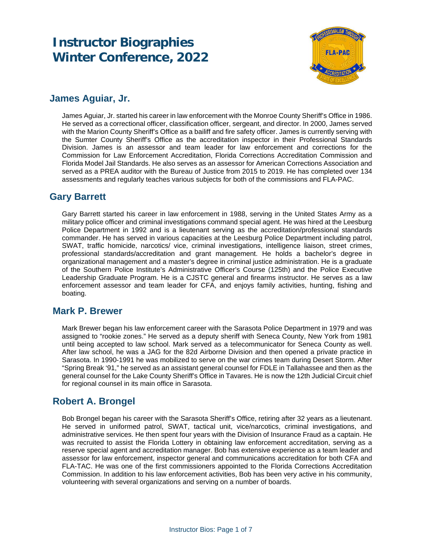# **Instructor Biographies Winter Conference, 2022**



#### **James Aguiar, Jr.**

James Aguiar, Jr. started his career in law enforcement with the Monroe County Sheriff's Office in 1986. He served as a correctional officer, classification officer, sergeant, and director. In 2000, James served with the Marion County Sheriff's Office as a bailiff and fire safety officer. James is currently serving with the Sumter County Sheriff's Office as the accreditation inspector in their Professional Standards Division. James is an assessor and team leader for law enforcement and corrections for the Commission for Law Enforcement Accreditation, Florida Corrections Accreditation Commission and Florida Model Jail Standards. He also serves as an assessor for American Corrections Association and served as a PREA auditor with the Bureau of Justice from 2015 to 2019. He has completed over 134 assessments and regularly teaches various subjects for both of the commissions and FLA-PAC.

### **Gary Barrett**

Gary Barrett started his career in law enforcement in 1988, serving in the United States Army as a military police officer and criminal investigations command special agent. He was hired at the Leesburg Police Department in 1992 and is a lieutenant serving as the accreditation/professional standards commander. He has served in various capacities at the Leesburg Police Department including patrol, SWAT, traffic homicide, narcotics/ vice, criminal investigations, intelligence liaison, street crimes, professional standards/accreditation and grant management. He holds a bachelor's degree in organizational management and a master's degree in criminal justice administration. He is a graduate of the Southern Police Institute's Administrative Officer's Course (125th) and the Police Executive Leadership Graduate Program. He is a CJSTC general and firearms instructor. He serves as a law enforcement assessor and team leader for CFA, and enjoys family activities, hunting, fishing and boating.

#### **Mark P. Brewer**

Mark Brewer began his law enforcement career with the Sarasota Police Department in 1979 and was assigned to "rookie zones." He served as a deputy sheriff with Seneca County, New York from 1981 until being accepted to law school. Mark served as a telecommunicator for Seneca County as well. After law school, he was a JAG for the 82d Airborne Division and then opened a private practice in Sarasota. In 1990-1991 he was mobilized to serve on the war crimes team during Desert Storm. After "Spring Break '91," he served as an assistant general counsel for FDLE in Tallahassee and then as the general counsel for the Lake County Sheriff's Office in Tavares. He is now the 12th Judicial Circuit chief for regional counsel in its main office in Sarasota.

# **Robert A. Brongel**

Bob Brongel began his career with the Sarasota Sheriff's Office, retiring after 32 years as a lieutenant. He served in uniformed patrol, SWAT, tactical unit, vice/narcotics, criminal investigations, and administrative services. He then spent four years with the Division of Insurance Fraud as a captain. He was recruited to assist the Florida Lottery in obtaining law enforcement accreditation, serving as a reserve special agent and accreditation manager. Bob has extensive experience as a team leader and assessor for law enforcement, inspector general and communications accreditation for both CFA and FLA-TAC. He was one of the first commissioners appointed to the Florida Corrections Accreditation Commission. In addition to his law enforcement activities, Bob has been very active in his community, volunteering with several organizations and serving on a number of boards.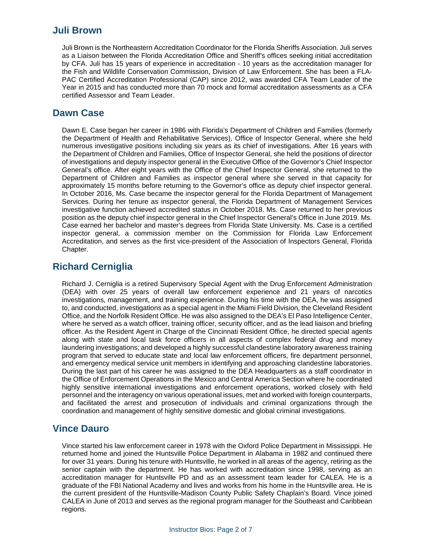## **Juli Brown**

Juli Brown is the Northeastern Accreditation Coordinator for the Florida Sheriffs Association. Juli serves as a Liaison between the Florida Accreditation Office and Sheriff's offices seeking initial accreditation by CFA. Juli has 15 years of experience in accreditation - 10 years as the accreditation manager for the Fish and Wildlife Conservation Commission, Division of Law Enforcement. She has been a FLA-PAC Certified Accreditation Professional (CAP) since 2012, was awarded CFA Team Leader of the Year in 2015 and has conducted more than 70 mock and formal accreditation assessments as a CFA certified Assessor and Team Leader.

## **Dawn Case**

Dawn E. Case began her career in 1986 with Florida's Department of Children and Families (formerly the Department of Health and Rehabilitative Services), Office of Inspector General, where she held numerous investigative positions including six years as its chief of investigations. After 16 years with the Department of Children and Families, Office of Inspector General, she held the positions of director of investigations and deputy inspector general in the Executive Office of the Governor's Chief Inspector General's office. After eight years with the Office of the Chief Inspector General, she returned to the Department of Children and Families as inspector general where she served in that capacity for approximately 15 months before returning to the Governor's office as deputy chief inspector general. In October 2016, Ms. Case became the inspector general for the Florida Department of Management Services. During her tenure as inspector general, the Florida Department of Management Services investigative function achieved accredited status in October 2018. Ms. Case returned to her previous position as the deputy chief inspector general in the Chief Inspector General's Office in June 2019. Ms. Case earned her bachelor and master's degrees from Florida State University. Ms. Case is a certified inspector general, a commission member on the Commission for Florida Law Enforcement Accreditation, and serves as the first vice-president of the Association of Inspectors General, Florida Chapter.

# **Richard Cerniglia**

Richard J. Cerniglia is a retired Supervisory Special Agent with the Drug Enforcement Administration (DEA) with over 25 years of overall law enforcement experience and 21 years of narcotics investigations, management, and training experience. During his time with the DEA, he was assigned to, and conducted, investigations as a special agent in the Miami Field Division, the Cleveland Resident Office, and the Norfolk Resident Office. He was also assigned to the DEA's El Paso Intelligence Center, where he served as a watch officer, training officer, security officer, and as the lead liaison and briefing officer. As the Resident Agent in Charge of the Cincinnati Resident Office, he directed special agents along with state and local task force officers in all aspects of complex federal drug and money laundering investigations; and developed a highly successful clandestine laboratory awareness training program that served to educate state and local law enforcement officers, fire department personnel, and emergency medical service unit members in identifying and approaching clandestine laboratories. During the last part of his career he was assigned to the DEA Headquarters as a staff coordinator in the Office of Enforcement Operations in the Mexico and Central America Section where he coordinated highly sensitive international investigations and enforcement operations, worked closely with field personnel and the interagency on various operational issues, met and worked with foreign counterparts, and facilitated the arrest and prosecution of individuals and criminal organizations through the coordination and management of highly sensitive domestic and global criminal investigations.

#### **Vince Dauro**

Vince started his law enforcement career in 1978 with the Oxford Police Department in Mississippi. He returned home and joined the Huntsville Police Department in Alabama in 1982 and continued there for over 31 years. During his tenure with Huntsville, he worked in all areas of the agency, retiring as the senior captain with the department. He has worked with accreditation since 1998, serving as an accreditation manager for Huntsville PD and as an assessment team leader for CALEA. He is a graduate of the FBI National Academy and lives and works from his home in the Huntsville area. He is the current president of the Huntsville-Madison County Public Safety Chaplain's Board. Vince joined CALEA in June of 2013 and serves as the regional program manager for the Southeast and Caribbean regions.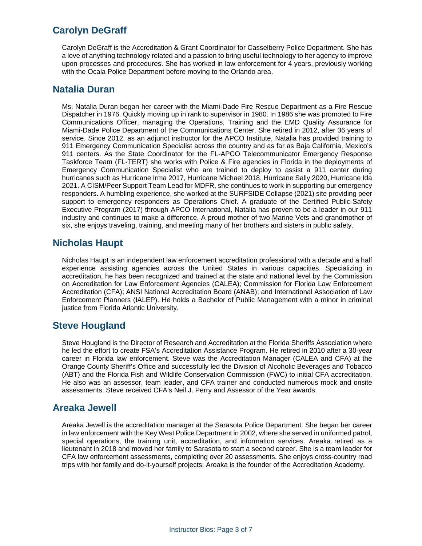# **Carolyn DeGraff**

Carolyn DeGraff is the Accreditation & Grant Coordinator for Casselberry Police Department. She has a love of anything technology related and a passion to bring useful technology to her agency to improve upon processes and procedures. She has worked in law enforcement for 4 years, previously working with the Ocala Police Department before moving to the Orlando area.

#### **Natalia Duran**

Ms. Natalia Duran began her career with the Miami-Dade Fire Rescue Department as a Fire Rescue Dispatcher in 1976. Quickly moving up in rank to supervisor in 1980. In 1986 she was promoted to Fire Communications Officer, managing the Operations, Training and the EMD Quality Assurance for Miami-Dade Police Department of the Communications Center. She retired in 2012, after 36 years of service. Since 2012, as an adjunct instructor for the APCO Institute, Natalia has provided training to 911 Emergency Communication Specialist across the country and as far as Baja California, Mexico's 911 centers. As the State Coordinator for the FL-APCO Telecommunicator Emergency Response Taskforce Team (FL-TERT) she works with Police & Fire agencies in Florida in the deployments of Emergency Communication Specialist who are trained to deploy to assist a 911 center during hurricanes such as Hurricane Irma 2017, Hurricane Michael 2018, Hurricane Sally 2020, Hurricane Ida 2021. A CISM/Peer Support Team Lead for MDFR, she continues to work in supporting our emergency responders. A humbling experience, she worked at the SURFSIDE Collapse (2021) site providing peer support to emergency responders as Operations Chief. A graduate of the Certified Public-Safety Executive Program (2017) through APCO International, Natalia has proven to be a leader in our 911 industry and continues to make a difference. A proud mother of two Marine Vets and grandmother of six, she enjoys traveling, training, and meeting many of her brothers and sisters in public safety.

### **Nicholas Haupt**

Nicholas Haupt is an independent law enforcement accreditation professional with a decade and a half experience assisting agencies across the United States in various capacities. Specializing in accreditation, he has been recognized and trained at the state and national level by the Commission on Accreditation for Law Enforcement Agencies (CALEA); Commission for Florida Law Enforcement Accreditation (CFA); ANSI National Accreditation Board (ANAB); and International Association of Law Enforcement Planners (IALEP). He holds a Bachelor of Public Management with a minor in criminal justice from Florida Atlantic University.

#### **Steve Hougland**

Steve Hougland is the Director of Research and Accreditation at the Florida Sheriffs Association where he led the effort to create FSA's Accreditation Assistance Program. He retired in 2010 after a 30-year career in Florida law enforcement. Steve was the Accreditation Manager (CALEA and CFA) at the Orange County Sheriff's Office and successfully led the Division of Alcoholic Beverages and Tobacco (ABT) and the Florida Fish and Wildlife Conservation Commission (FWC) to initial CFA accreditation. He also was an assessor, team leader, and CFA trainer and conducted numerous mock and onsite assessments. Steve received CFA's Neil J. Perry and Assessor of the Year awards.

#### **Areaka Jewell**

Areaka Jewell is the accreditation manager at the Sarasota Police Department. She began her career in law enforcement with the Key West Police Department in 2002, where she served in uniformed patrol, special operations, the training unit, accreditation, and information services. Areaka retired as a lieutenant in 2018 and moved her family to Sarasota to start a second career. She is a team leader for CFA law enforcement assessments, completing over 20 assessments. She enjoys cross-country road trips with her family and do-it-yourself projects. Areaka is the founder of the Accreditation Academy.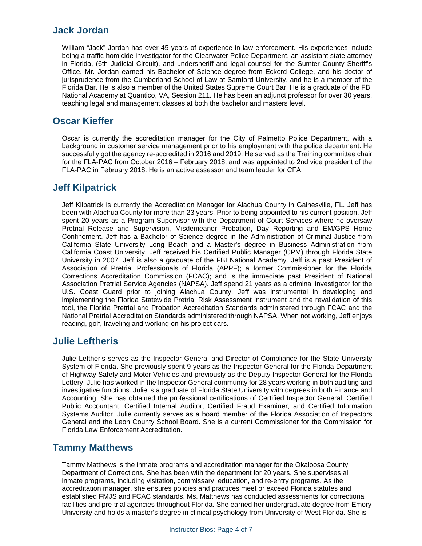## **Jack Jordan**

William "Jack" Jordan has over 45 years of experience in law enforcement. His experiences include being a traffic homicide investigator for the Clearwater Police Department, an assistant state attorney in Florida, (6th Judicial Circuit), and undersheriff and legal counsel for the Sumter County Sheriff's Office. Mr. Jordan earned his Bachelor of Science degree from Eckerd College, and his doctor of jurisprudence from the Cumberland School of Law at Samford University, and he is a member of the Florida Bar. He is also a member of the United States Supreme Court Bar. He is a graduate of the FBI National Academy at Quantico, VA, Session 211. He has been an adjunct professor for over 30 years, teaching legal and management classes at both the bachelor and masters level.

#### **Oscar Kieffer**

Oscar is currently the accreditation manager for the City of Palmetto Police Department, with a background in customer service management prior to his employment with the police department. He successfully got the agency re-accredited in 2016 and 2019. He served as the Training committee chair for the FLA-PAC from October 2016 – February 2018, and was appointed to 2nd vice president of the FLA-PAC in February 2018. He is an active assessor and team leader for CFA.

#### **Jeff Kilpatrick**

Jeff Kilpatrick is currently the Accreditation Manager for Alachua County in Gainesville, FL. Jeff has been with Alachua County for more than 23 years. Prior to being appointed to his current position, Jeff spent 20 years as a Program Supervisor with the Department of Court Services where he oversaw Pretrial Release and Supervision, Misdemeanor Probation, Day Reporting and EM/GPS Home Confinement. Jeff has a Bachelor of Science degree in the Administration of Criminal Justice from California State University Long Beach and a Master's degree in Business Administration from California Coast University. Jeff received his Certified Public Manager (CPM) through Florida State University in 2007. Jeff is also a graduate of the FBI National Academy. Jeff is a past President of Association of Pretrial Professionals of Florida (APPF); a former Commissioner for the Florida Corrections Accreditation Commission (FCAC); and is the immediate past President of National Association Pretrial Service Agencies (NAPSA). Jeff spend 21 years as a criminal investigator for the U.S. Coast Guard prior to joining Alachua County. Jeff was instrumental in developing and implementing the Florida Statewide Pretrial Risk Assessment Instrument and the revalidation of this tool, the Florida Pretrial and Probation Accreditation Standards administered through FCAC and the National Pretrial Accreditation Standards administered through NAPSA. When not working, Jeff enjoys reading, golf, traveling and working on his project cars.

#### **Julie Leftheris**

Julie Leftheris serves as the Inspector General and Director of Compliance for the State University System of Florida. She previously spent 9 years as the Inspector General for the Florida Department of Highway Safety and Motor Vehicles and previously as the Deputy Inspector General for the Florida Lottery. Julie has worked in the Inspector General community for 28 years working in both auditing and investigative functions. Julie is a graduate of Florida State University with degrees in both Finance and Accounting. She has obtained the professional certifications of Certified Inspector General, Certified Public Accountant, Certified Internal Auditor, Certified Fraud Examiner, and Certified Information Systems Auditor. Julie currently serves as a board member of the Florida Association of Inspectors General and the Leon County School Board. She is a current Commissioner for the Commission for Florida Law Enforcement Accreditation.

#### **Tammy Matthews**

Tammy Matthews is the inmate programs and accreditation manager for the Okaloosa County Department of Corrections. She has been with the department for 20 years. She supervises all inmate programs, including visitation, commissary, education, and re-entry programs. As the accreditation manager, she ensures policies and practices meet or exceed Florida statutes and established FMJS and FCAC standards. Ms. Matthews has conducted assessments for correctional facilities and pre-trial agencies throughout Florida. She earned her undergraduate degree from Emory University and holds a master's degree in clinical psychology from University of West Florida. She is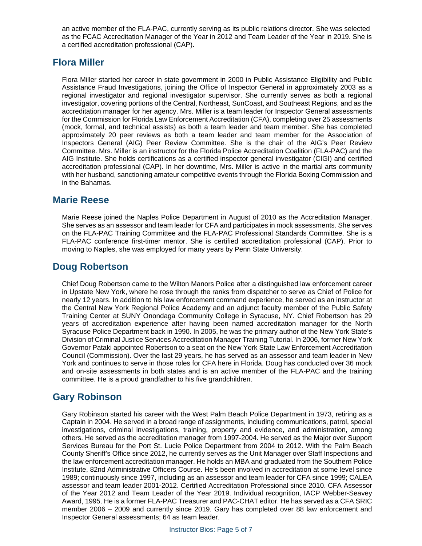an active member of the FLA-PAC, currently serving as its public relations director. She was selected as the FCAC Accreditation Manager of the Year in 2012 and Team Leader of the Year in 2019. She is a certified accreditation professional (CAP).

## **Flora Miller**

Flora Miller started her career in state government in 2000 in Public Assistance Eligibility and Public Assistance Fraud Investigations, joining the Office of Inspector General in approximately 2003 as a regional investigator and regional investigator supervisor. She currently serves as both a regional investigator, covering portions of the Central, Northeast, SunCoast, and Southeast Regions, and as the accreditation manager for her agency. Mrs. Miller is a team leader for Inspector General assessments for the Commission for Florida Law Enforcement Accreditation (CFA), completing over 25 assessments (mock, formal, and technical assists) as both a team leader and team member. She has completed approximately 20 peer reviews as both a team leader and team member for the Association of Inspectors General (AIG) Peer Review Committee. She is the chair of the AIG's Peer Review Committee. Mrs. Miller is an instructor for the Florida Police Accreditation Coalition (FLA-PAC) and the AIG Institute. She holds certifications as a certified inspector general investigator (CIGI) and certified accreditation professional (CAP). In her downtime, Mrs. Miller is active in the martial arts community with her husband, sanctioning amateur competitive events through the Florida Boxing Commission and in the Bahamas.

#### **Marie Reese**

Marie Reese joined the Naples Police Department in August of 2010 as the Accreditation Manager. She serves as an assessor and team leader for CFA and participates in mock assessments. She serves on the FLA-PAC Training Committee and the FLA-PAC Professional Standards Committee. She is a FLA-PAC conference first-timer mentor. She is certified accreditation professional (CAP). Prior to moving to Naples, she was employed for many years by Penn State University.

## **Doug Robertson**

Chief Doug Robertson came to the Wilton Manors Police after a distinguished law enforcement career in Upstate New York, where he rose through the ranks from dispatcher to serve as Chief of Police for nearly 12 years. In addition to his law enforcement command experience, he served as an instructor at the Central New York Regional Police Academy and an adjunct faculty member of the Public Safety Training Center at SUNY Onondaga Community College in Syracuse, NY. Chief Robertson has 29 years of accreditation experience after having been named accreditation manager for the North Syracuse Police Department back in 1990. In 2005, he was the primary author of the New York State's Division of Criminal Justice Services Accreditation Manager Training Tutorial. In 2006, former New York Governor Pataki appointed Robertson to a seat on the New York State Law Enforcement Accreditation Council (Commission). Over the last 29 years, he has served as an assessor and team leader in New York and continues to serve in those roles for CFA here in Florida. Doug has conducted over 36 mock and on-site assessments in both states and is an active member of the FLA-PAC and the training committee. He is a proud grandfather to his five grandchildren.

## **Gary Robinson**

Gary Robinson started his career with the West Palm Beach Police Department in 1973, retiring as a Captain in 2004. He served in a broad range of assignments, including communications, patrol, special investigations, criminal investigations, training, property and evidence, and administration, among others. He served as the accreditation manager from 1997-2004. He served as the Major over Support Services Bureau for the Port St. Lucie Police Department from 2004 to 2012. With the Palm Beach County Sheriff's Office since 2012, he currently serves as the Unit Manager over Staff Inspections and the law enforcement accreditation manager. He holds an MBA and graduated from the Southern Police Institute, 82nd Administrative Officers Course. He's been involved in accreditation at some level since 1989; continuously since 1997, including as an assessor and team leader for CFA since 1999; CALEA assessor and team leader 2001-2012. Certified Accreditation Professional since 2010. CFA Assessor of the Year 2012 and Team Leader of the Year 2019. Individual recognition, IACP Webber-Seavey Award, 1995. He is a former FLA-PAC Treasurer and PAC-CHAT editor. He has served as a CFA SRIC member 2006 – 2009 and currently since 2019. Gary has completed over 88 law enforcement and Inspector General assessments; 64 as team leader.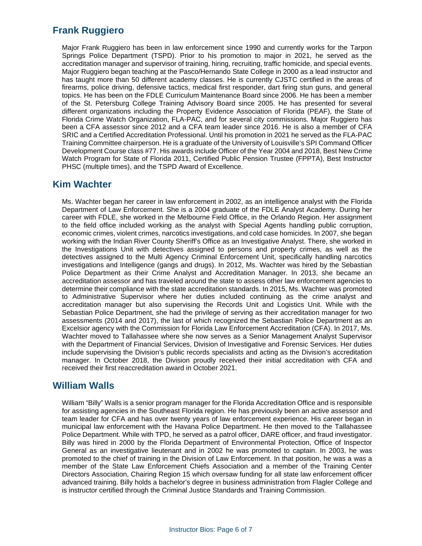# **Frank Ruggiero**

Major Frank Ruggiero has been in law enforcement since 1990 and currently works for the Tarpon Springs Police Department (TSPD). Prior to his promotion to major in 2021, he served as the accreditation manager and supervisor of training, hiring, recruiting, traffic homicide, and special events. Major Ruggiero began teaching at the Pasco/Hernando State College in 2000 as a lead instructor and has taught more than 50 different academy classes. He is currently CJSTC certified in the areas of firearms, police driving, defensive tactics, medical first responder, dart firing stun guns, and general topics. He has been on the FDLE Curriculum Maintenance Board since 2006. He has been a member of the St. Petersburg College Training Advisory Board since 2005. He has presented for several different organizations including the Property Evidence Association of Florida (PEAF), the State of Florida Crime Watch Organization, FLA-PAC, and for several city commissions. Major Ruggiero has been a CFA assessor since 2012 and a CFA team leader since 2016. He is also a member of CFA SRIC and a Certified Accreditation Professional. Until his promotion in 2021 he served as the FLA-PAC Training Committee chairperson. He is a graduate of the University of Louisville's SPI Command Officer Development Course class #77. His awards include Officer of the Year 2004 and 2018, Best New Crime Watch Program for State of Florida 2011, Certified Public Pension Trustee (FPPTA), Best Instructor PHSC (multiple times), and the TSPD Award of Excellence.

#### **Kim Wachter**

Ms. Wachter began her career in law enforcement in 2002, as an intelligence analyst with the Florida Department of Law Enforcement. She is a 2004 graduate of the FDLE Analyst Academy. During her career with FDLE, she worked in the Melbourne Field Office, in the Orlando Region. Her assignment to the field office included working as the analyst with Special Agents handling public corruption, economic crimes, violent crimes, narcotics investigations, and cold case homicides. In 2007, she began working with the Indian River County Sheriff's Office as an Investigative Analyst. There, she worked in the Investigations Unit with detectives assigned to persons and property crimes, as well as the detectives assigned to the Multi Agency Criminal Enforcement Unit, specifically handling narcotics investigations and Intelligence (gangs and drugs). In 2012, Ms. Wachter was hired by the Sebastian Police Department as their Crime Analyst and Accreditation Manager. In 2013, she became an accreditation assessor and has traveled around the state to assess other law enforcement agencies to determine their compliance with the state accreditation standards. In 2015, Ms. Wachter was promoted to Administrative Supervisor where her duties included continuing as the crime analyst and accreditation manager but also supervising the Records Unit and Logistics Unit. While with the Sebastian Police Department, she had the privilege of serving as their accreditation manager for two assessments (2014 and 2017), the last of which recognized the Sebastian Police Department as an Excelsior agency with the Commission for Florida Law Enforcement Accreditation (CFA). In 2017, Ms. Wachter moved to Tallahassee where she now serves as a Senior Management Analyst Supervisor with the Department of Financial Services, Division of Investigative and Forensic Services. Her duties include supervising the Division's public records specialists and acting as the Division's accreditation manager. In October 2018, the Division proudly received their initial accreditation with CFA and received their first reaccreditation award in October 2021.

#### **William Walls**

William "Billy" Walls is a senior program manager for the Florida Accreditation Office and is responsible for assisting agencies in the Southeast Florida region. He has previously been an active assessor and team leader for CFA and has over twenty years of law enforcement experience. His career began in municipal law enforcement with the Havana Police Department. He then moved to the Tallahassee Police Department. While with TPD, he served as a patrol officer, DARE officer, and fraud investigator. Billy was hired in 2000 by the Florida Department of Environmental Protection, Office of Inspector General as an investigative lieutenant and in 2002 he was promoted to captain. In 2003, he was promoted to the chief of training in the Division of Law Enforcement. In that position, he was a was a member of the State Law Enforcement Chiefs Association and a member of the Training Center Directors Association, Chairing Region 15 which oversaw funding for all state law enforcement officer advanced training. Billy holds a bachelor's degree in business administration from Flagler College and is instructor certified through the Criminal Justice Standards and Training Commission.